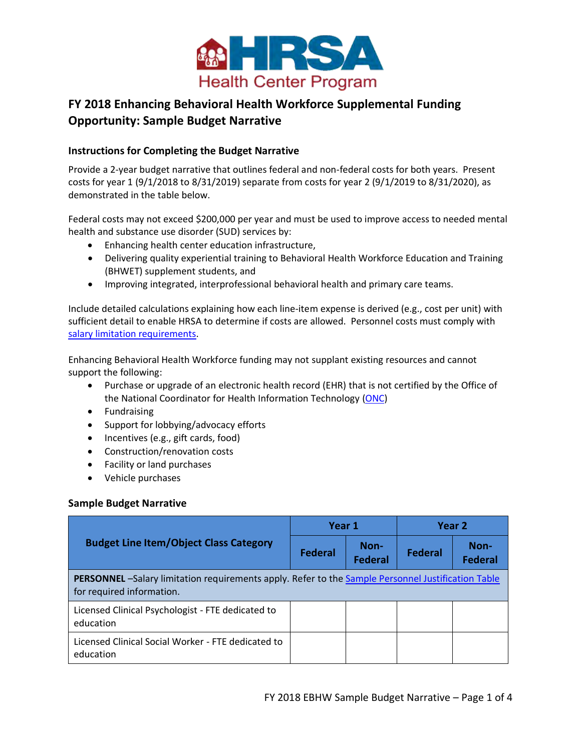

# **FY 2018 Enhancing Behavioral Health Workforce Supplemental Funding Opportunity: Sample Budget Narrative**

## **Instructions for Completing the Budget Narrative**

Provide a 2-year budget narrative that outlines federal and non-federal costs for both years. Present costs for year 1 (9/1/2018 to 8/31/2019) separate from costs for year 2 (9/1/2019 to 8/31/2020), as demonstrated in the table below.

Federal costs may not exceed \$200,000 per year and must be used to improve access to needed mental health and substance use disorder (SUD) services by:

- Enhancing health center education infrastructure,
- Delivering quality experiential training to Behavioral Health Workforce Education and Training (BHWET) supplement students, and
- Improving integrated, interprofessional behavioral health and primary care teams.

Include detailed calculations explaining how each line-item expense is derived (e.g., cost per unit) with sufficient detail to enable HRSA to determine if costs are allowed. Personnel costs must comply with [salary limitation requirements.](#page-3-0)

Enhancing Behavioral Health Workforce funding may not supplant existing resources and cannot support the following:

- Purchase or upgrade of an electronic health record (EHR) that is not certified by the Office of the National Coordinator for Health Information Technology [\(ONC\)](https://www.cms.gov/Regulations-and-Guidance/Legislation/EHRIncentivePrograms/Certification.html)
- Fundraising
- Support for lobbying/advocacy efforts
- Incentives (e.g., gift cards, food)
- Construction/renovation costs
- Facility or land purchases
- Vehicle purchases

### **Sample Budget Narrative**

|                                                                                                                                        | Year 1         |                        | Year 2         |                        |  |  |
|----------------------------------------------------------------------------------------------------------------------------------------|----------------|------------------------|----------------|------------------------|--|--|
| <b>Budget Line Item/Object Class Category</b>                                                                                          | <b>Federal</b> | Non-<br><b>Federal</b> | <b>Federal</b> | Non-<br><b>Federal</b> |  |  |
| <b>PERSONNEL</b> -Salary limitation requirements apply. Refer to the Sample Personnel Justification Table<br>for required information. |                |                        |                |                        |  |  |
| Licensed Clinical Psychologist - FTE dedicated to<br>education                                                                         |                |                        |                |                        |  |  |
| Licensed Clinical Social Worker - FTE dedicated to<br>education                                                                        |                |                        |                |                        |  |  |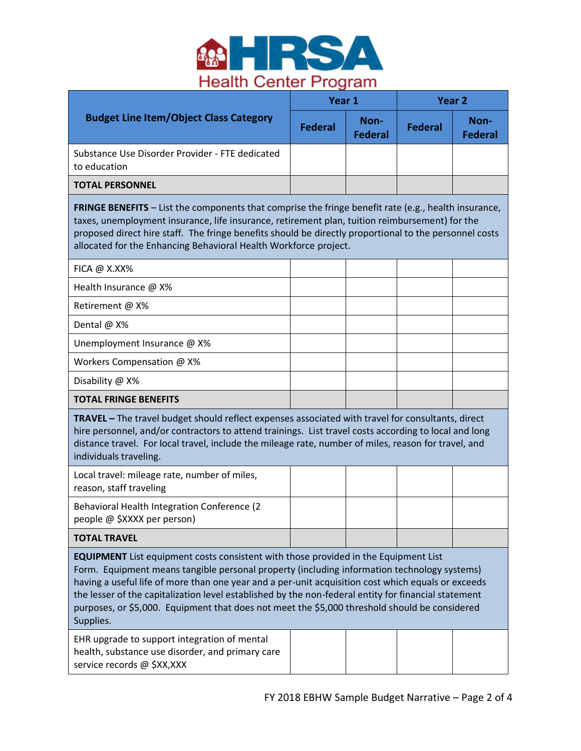

|                                                                                                                                                                                                                                                                                                                                                                                             | Year 1         |                        | Year 2  |                        |  |
|---------------------------------------------------------------------------------------------------------------------------------------------------------------------------------------------------------------------------------------------------------------------------------------------------------------------------------------------------------------------------------------------|----------------|------------------------|---------|------------------------|--|
| <b>Budget Line Item/Object Class Category</b>                                                                                                                                                                                                                                                                                                                                               | <b>Federal</b> | Non-<br><b>Federal</b> | Federal | Non-<br><b>Federal</b> |  |
| Substance Use Disorder Provider - FTE dedicated<br>to education                                                                                                                                                                                                                                                                                                                             |                |                        |         |                        |  |
| <b>TOTAL PERSONNEL</b>                                                                                                                                                                                                                                                                                                                                                                      |                |                        |         |                        |  |
| <b>FRINGE BENEFITS</b> – List the components that comprise the fringe benefit rate (e.g., health insurance,<br>taxes, unemployment insurance, life insurance, retirement plan, tuition reimbursement) for the<br>proposed direct hire staff. The fringe benefits should be directly proportional to the personnel costs<br>allocated for the Enhancing Behavioral Health Workforce project. |                |                        |         |                        |  |

| $FICA @ X.XX\%$              |  |  |
|------------------------------|--|--|
| Health Insurance @ X%        |  |  |
| Retirement @ X%              |  |  |
| Dental @ X%                  |  |  |
| Unemployment Insurance @ X%  |  |  |
| Workers Compensation @ X%    |  |  |
| Disability @ X%              |  |  |
| <b>TOTAL FRINGE BENEFITS</b> |  |  |

**TRAVEL –** The travel budget should reflect expenses associated with travel for consultants, direct hire personnel, and/or contractors to attend trainings. List travel costs according to local and long distance travel. For local travel, include the mileage rate, number of miles, reason for travel, and individuals traveling.

| Local travel: mileage rate, number of miles,<br>reason, staff traveling     |  |  |
|-----------------------------------------------------------------------------|--|--|
| Behavioral Health Integration Conference (2)<br>people @ \$XXXX per person) |  |  |
| <b>TOTAL TRAVEL</b>                                                         |  |  |

**EQUIPMENT** List equipment costs consistent with those provided in the Equipment List

Form. Equipment means tangible personal property (including information technology systems) having a useful life of more than one year and a per-unit acquisition cost which equals or exceeds the lesser of the capitalization level established by the non-federal entity for financial statement purposes, or \$5,000. Equipment that does not meet the \$5,000 threshold should be considered Supplies.

EHR upgrade to support integration of mental health, substance use disorder, and primary care service records @ \$XX,XXX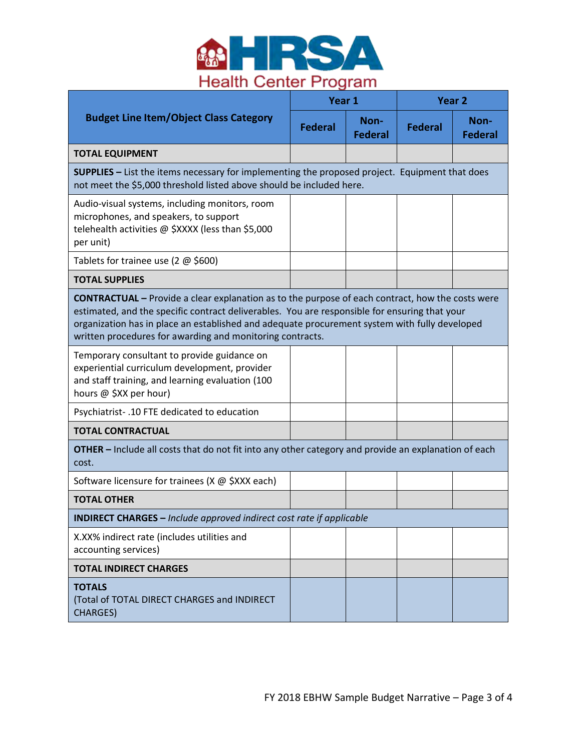

|                                                                                                                                                                                                                                                                                                                                                                        | Year 1                                                                                                                                                                        |                        | Year <sub>2</sub> |                        |  |
|------------------------------------------------------------------------------------------------------------------------------------------------------------------------------------------------------------------------------------------------------------------------------------------------------------------------------------------------------------------------|-------------------------------------------------------------------------------------------------------------------------------------------------------------------------------|------------------------|-------------------|------------------------|--|
| <b>Budget Line Item/Object Class Category</b>                                                                                                                                                                                                                                                                                                                          | <b>Federal</b>                                                                                                                                                                | Non-<br><b>Federal</b> | <b>Federal</b>    | Non-<br><b>Federal</b> |  |
| <b>TOTAL EQUIPMENT</b>                                                                                                                                                                                                                                                                                                                                                 |                                                                                                                                                                               |                        |                   |                        |  |
|                                                                                                                                                                                                                                                                                                                                                                        | <b>SUPPLIES</b> - List the items necessary for implementing the proposed project. Equipment that does<br>not meet the \$5,000 threshold listed above should be included here. |                        |                   |                        |  |
| Audio-visual systems, including monitors, room<br>microphones, and speakers, to support<br>telehealth activities @ \$XXXX (less than \$5,000<br>per unit)                                                                                                                                                                                                              |                                                                                                                                                                               |                        |                   |                        |  |
| Tablets for trainee use (2 $\omega$ \$600)                                                                                                                                                                                                                                                                                                                             |                                                                                                                                                                               |                        |                   |                        |  |
| <b>TOTAL SUPPLIES</b>                                                                                                                                                                                                                                                                                                                                                  |                                                                                                                                                                               |                        |                   |                        |  |
| <b>CONTRACTUAL</b> – Provide a clear explanation as to the purpose of each contract, how the costs were<br>estimated, and the specific contract deliverables. You are responsible for ensuring that your<br>organization has in place an established and adequate procurement system with fully developed<br>written procedures for awarding and monitoring contracts. |                                                                                                                                                                               |                        |                   |                        |  |
| Temporary consultant to provide guidance on<br>experiential curriculum development, provider<br>and staff training, and learning evaluation (100<br>hours @ \$XX per hour)                                                                                                                                                                                             |                                                                                                                                                                               |                        |                   |                        |  |
| Psychiatrist-.10 FTE dedicated to education                                                                                                                                                                                                                                                                                                                            |                                                                                                                                                                               |                        |                   |                        |  |
| <b>TOTAL CONTRACTUAL</b>                                                                                                                                                                                                                                                                                                                                               |                                                                                                                                                                               |                        |                   |                        |  |
| <b>OTHER</b> - Include all costs that do not fit into any other category and provide an explanation of each<br>cost.                                                                                                                                                                                                                                                   |                                                                                                                                                                               |                        |                   |                        |  |
| Software licensure for trainees (X @ \$XXX each)                                                                                                                                                                                                                                                                                                                       |                                                                                                                                                                               |                        |                   |                        |  |
| <b>TOTAL OTHER</b>                                                                                                                                                                                                                                                                                                                                                     |                                                                                                                                                                               |                        |                   |                        |  |
| <b>INDIRECT CHARGES</b> - Include approved indirect cost rate if applicable                                                                                                                                                                                                                                                                                            |                                                                                                                                                                               |                        |                   |                        |  |
| X.XX% indirect rate (includes utilities and<br>accounting services)                                                                                                                                                                                                                                                                                                    |                                                                                                                                                                               |                        |                   |                        |  |
| <b>TOTAL INDIRECT CHARGES</b>                                                                                                                                                                                                                                                                                                                                          |                                                                                                                                                                               |                        |                   |                        |  |
| <b>TOTALS</b><br>(Total of TOTAL DIRECT CHARGES and INDIRECT<br><b>CHARGES)</b>                                                                                                                                                                                                                                                                                        |                                                                                                                                                                               |                        |                   |                        |  |